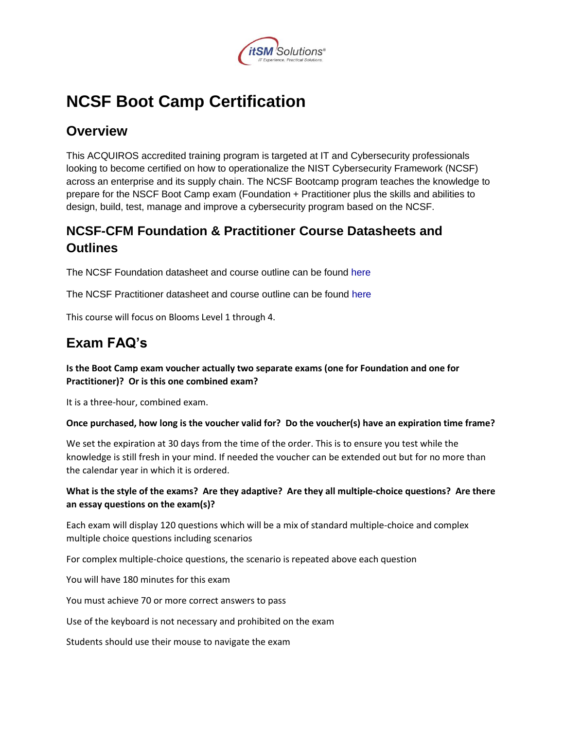

# **NCSF Boot Camp Certification**

### **Overview**

This ACQUIROS accredited training program is targeted at IT and Cybersecurity professionals looking to become certified on how to operationalize the NIST Cybersecurity Framework (NCSF) across an enterprise and its supply chain. The NCSF Bootcamp program teaches the knowledge to prepare for the NSCF Boot Camp exam (Foundation + Practitioner plus the skills and abilities to design, build, test, manage and improve a cybersecurity program based on the NCSF.

### **NCSF-CFM Foundation & Practitioner Course Datasheets and Outlines**

The NCSF Foundation datasheet and course outline can be found [here](https://nistcsf.com/wp-content/uploads/2017/06/NCSF-Datasheet-Foundation-1.pdf)

The NCSF Practitioner datasheet and course outline can be found [here](https://nistcsf.com/wp-content/uploads/2017/06/NCSF-Datasheet-Practitioner.pdf)

This course will focus on Blooms Level 1 through 4.

## **Exam FAQ's**

#### **Is the Boot Camp exam voucher actually two separate exams (one for Foundation and one for Practitioner)? Or is this one combined exam?**

It is a three-hour, combined exam.

#### **Once purchased, how long is the voucher valid for? Do the voucher(s) have an expiration time frame?**

We set the expiration at 30 days from the time of the order. This is to ensure you test while the knowledge is still fresh in your mind. If needed the voucher can be extended out but for no more than the calendar year in which it is ordered.

#### **What is the style of the exams? Are they adaptive? Are they all multiple-choice questions? Are there an essay questions on the exam(s)?**

Each exam will display 120 questions which will be a mix of standard multiple-choice and complex multiple choice questions including scenarios

For complex multiple-choice questions, the scenario is repeated above each question

You will have 180 minutes for this exam

You must achieve 70 or more correct answers to pass

Use of the keyboard is not necessary and prohibited on the exam

Students should use their mouse to navigate the exam